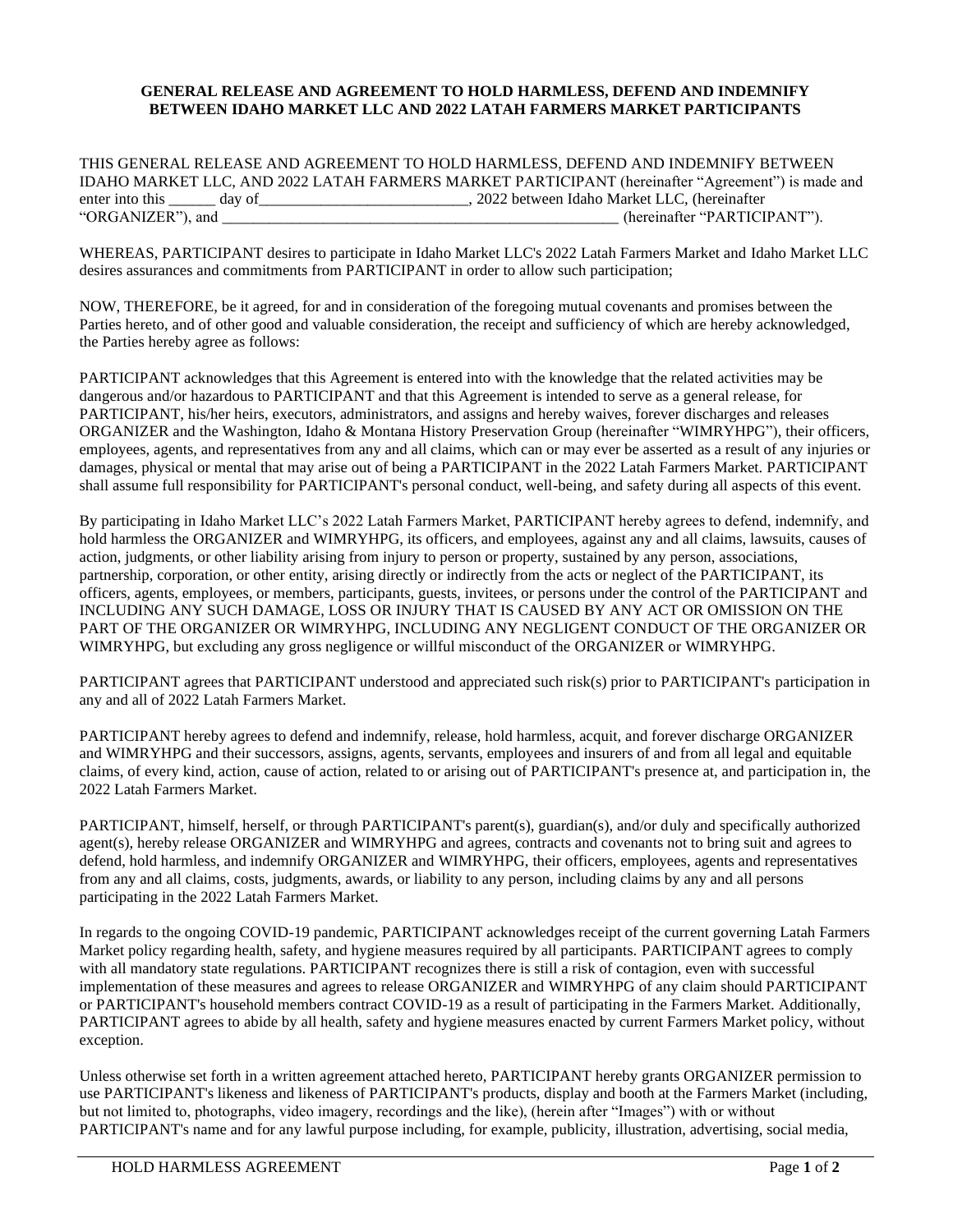## **GENERAL RELEASE AND AGREEMENT TO HOLD HARMLESS, DEFEND AND INDEMNIFY BETWEEN IDAHO MARKET LLC AND 2022 LATAH FARMERS MARKET PARTICIPANTS**

THIS GENERAL RELEASE AND AGREEMENT TO HOLD HARMLESS, DEFEND AND INDEMNIFY BETWEEN IDAHO MARKET LLC, AND 2022 LATAH FARMERS MARKET PARTICIPANT (hereinafter "Agreement") is made and enter into this \_\_\_\_\_ day of\_\_\_\_\_\_\_\_\_\_\_\_\_\_\_\_\_\_\_\_\_\_\_\_\_\_\_\_\_\_\_\_\_\_, 2022 between Idaho Market LLC, (hereinafter "PARTICI" (hereinafter "PARTICIPANT").

WHEREAS, PARTICIPANT desires to participate in Idaho Market LLC's 2022 Latah Farmers Market and Idaho Market LLC desires assurances and commitments from PARTICIPANT in order to allow such participation;

NOW, THEREFORE, be it agreed, for and in consideration of the foregoing mutual covenants and promises between the Parties hereto, and of other good and valuable consideration, the receipt and sufficiency of which are hereby acknowledged, the Parties hereby agree as follows:

PARTICIPANT acknowledges that this Agreement is entered into with the knowledge that the related activities may be dangerous and/or hazardous to PARTICIPANT and that this Agreement is intended to serve as a general release, for PARTICIPANT, his/her heirs, executors, administrators, and assigns and hereby waives, forever discharges and releases ORGANIZER and the Washington, Idaho & Montana History Preservation Group (hereinafter "WIMRYHPG"), their officers, employees, agents, and representatives from any and all claims, which can or may ever be asserted as a result of any injuries or damages, physical or mental that may arise out of being a PARTICIPANT in the 2022 Latah Farmers Market. PARTICIPANT shall assume full responsibility for PARTICIPANT's personal conduct, well-being, and safety during all aspects of this event.

By participating in Idaho Market LLC's 2022 Latah Farmers Market, PARTICIPANT hereby agrees to defend, indemnify, and hold harmless the ORGANIZER and WIMRYHPG, its officers, and employees, against any and all claims, lawsuits, causes of action, judgments, or other liability arising from injury to person or property, sustained by any person, associations, partnership, corporation, or other entity, arising directly or indirectly from the acts or neglect of the PARTICIPANT, its officers, agents, employees, or members, participants, guests, invitees, or persons under the control of the PARTICIPANT and INCLUDING ANY SUCH DAMAGE, LOSS OR INJURY THAT IS CAUSED BY ANY ACT OR OMISSION ON THE PART OF THE ORGANIZER OR WIMRYHPG, INCLUDING ANY NEGLIGENT CONDUCT OF THE ORGANIZER OR WIMRYHPG, but excluding any gross negligence or willful misconduct of the ORGANIZER or WIMRYHPG.

PARTICIPANT agrees that PARTICIPANT understood and appreciated such risk(s) prior to PARTICIPANT's participation in any and all of 2022 Latah Farmers Market.

PARTICIPANT hereby agrees to defend and indemnify, release, hold harmless, acquit, and forever discharge ORGANIZER and WIMRYHPG and their successors, assigns, agents, servants, employees and insurers of and from all legal and equitable claims, of every kind, action, cause of action, related to or arising out of PARTICIPANT's presence at, and participation in, the 2022 Latah Farmers Market.

PARTICIPANT, himself, herself, or through PARTICIPANT's parent(s), guardian(s), and/or duly and specifically authorized agent(s), hereby release ORGANIZER and WIMRYHPG and agrees, contracts and covenants not to bring suit and agrees to defend, hold harmless, and indemnify ORGANIZER and WIMRYHPG, their officers, employees, agents and representatives from any and all claims, costs, judgments, awards, or liability to any person, including claims by any and all persons participating in the 2022 Latah Farmers Market.

In regards to the ongoing COVID-19 pandemic, PARTICIPANT acknowledges receipt of the current governing Latah Farmers Market policy regarding health, safety, and hygiene measures required by all participants. PARTICIPANT agrees to comply with all mandatory state regulations. PARTICIPANT recognizes there is still a risk of contagion, even with successful implementation of these measures and agrees to release ORGANIZER and WIMRYHPG of any claim should PARTICIPANT or PARTICIPANT's household members contract COVID-19 as a result of participating in the Farmers Market. Additionally, PARTICIPANT agrees to abide by all health, safety and hygiene measures enacted by current Farmers Market policy, without exception.

Unless otherwise set forth in a written agreement attached hereto, PARTICIPANT hereby grants ORGANIZER permission to use PARTICIPANT's likeness and likeness of PARTICIPANT's products, display and booth at the Farmers Market (including, but not limited to, photographs, video imagery, recordings and the like), (herein after "Images") with or without PARTICIPANT's name and for any lawful purpose including, for example, publicity, illustration, advertising, social media,